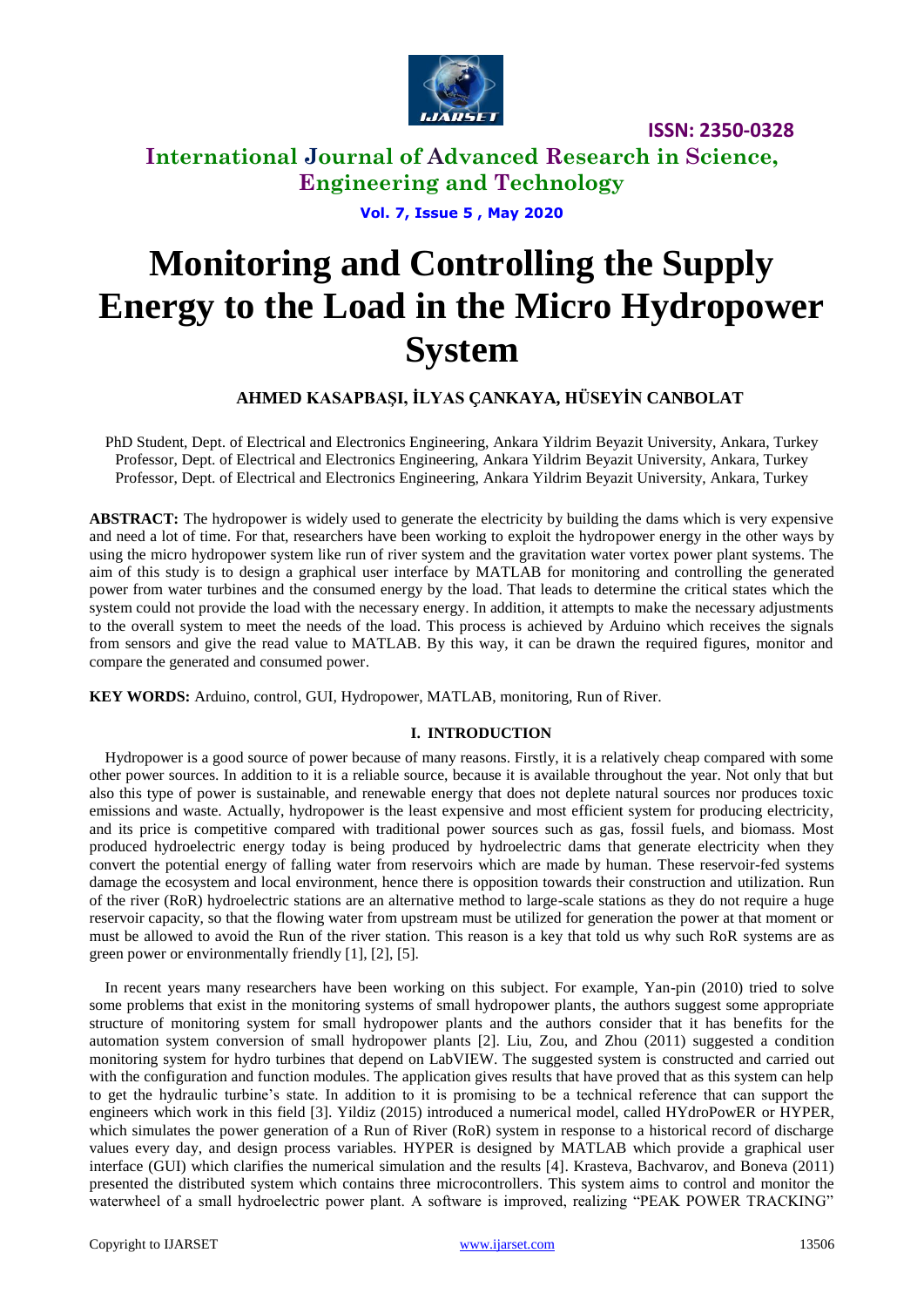

## **International Journal of Advanced Research in Science, Engineering and Technology**

**Vol. 7, Issue 5 , May 2020**

# **Monitoring and Controlling the Supply Energy to the Load in the Micro Hydropower System**

## **AHMED KASAPBAŞI, İLYAS ÇANKAYA, HÜSEYİN CANBOLAT**

PhD Student, Dept. of Electrical and Electronics Engineering, Ankara Yildrim Beyazit University, Ankara, Turkey Professor, Dept. of Electrical and Electronics Engineering, Ankara Yildrim Beyazit University, Ankara, Turkey Professor, Dept. of Electrical and Electronics Engineering, Ankara Yildrim Beyazit University, Ankara, Turkey

**ABSTRACT:** The hydropower is widely used to generate the electricity by building the dams which is very expensive and need a lot of time. For that, researchers have been working to exploit the hydropower energy in the other ways by using the micro hydropower system like run of river system and the gravitation water vortex power plant systems. The aim of this study is to design a graphical user interface by MATLAB for monitoring and controlling the generated power from water turbines and the consumed energy by the load. That leads to determine the critical states which the system could not provide the load with the necessary energy. In addition, it attempts to make the necessary adjustments to the overall system to meet the needs of the load. This process is achieved by Arduino which receives the signals from sensors and give the read value to MATLAB. By this way, it can be drawn the required figures, monitor and compare the generated and consumed power.

**KEY WORDS:** Arduino, control, GUI, Hydropower, MATLAB, monitoring, Run of River.

## **I. INTRODUCTION**

Hydropower is a good source of power because of many reasons. Firstly, it is a relatively cheap compared with some other power sources. In addition to it is a reliable source, because it is available throughout the year. Not only that but also this type of power is sustainable, and renewable energy that does not deplete natural sources nor produces toxic emissions and waste. Actually, hydropower is the least expensive and most efficient system for producing electricity, and its price is competitive compared with traditional power sources such as gas, fossil fuels, and biomass. Most produced hydroelectric energy today is being produced by hydroelectric dams that generate electricity when they convert the potential energy of falling water from reservoirs which are made by human. These reservoir-fed systems damage the ecosystem and local environment, hence there is opposition towards their construction and utilization. Run of the river (RoR) hydroelectric stations are an alternative method to large-scale stations as they do not require a huge reservoir capacity, so that the flowing water from upstream must be utilized for generation the power at that moment or must be allowed to avoid the Run of the river station. This reason is a key that told us why such RoR systems are as green power or environmentally friendly [1], [2], [5].

In recent years many researchers have been working on this subject. For example, Yan-pin (2010) tried to solve some problems that exist in the monitoring systems of small hydropower plants, the authors suggest some appropriate structure of monitoring system for small hydropower plants and the authors consider that it has benefits for the automation system conversion of small hydropower plants [2]. Liu, Zou, and Zhou (2011) suggested a condition monitoring system for hydro turbines that depend on LabVIEW. The suggested system is constructed and carried out with the configuration and function modules. The application gives results that have proved that as this system can help to get the hydraulic turbine's state. In addition to it is promising to be a technical reference that can support the engineers which work in this field [3]. Yildiz (2015) introduced a numerical model, called HYdroPowER or HYPER, which simulates the power generation of a Run of River (RoR) system in response to a historical record of discharge values every day, and design process variables. HYPER is designed by MATLAB which provide a graphical user interface (GUI) which clarifies the numerical simulation and the results [4]. Krasteva, Bachvarov, and Boneva (2011) presented the distributed system which contains three microcontrollers. This system aims to control and monitor the waterwheel of a small hydroelectric power plant. A software is improved, realizing "PEAK POWER TRACKING"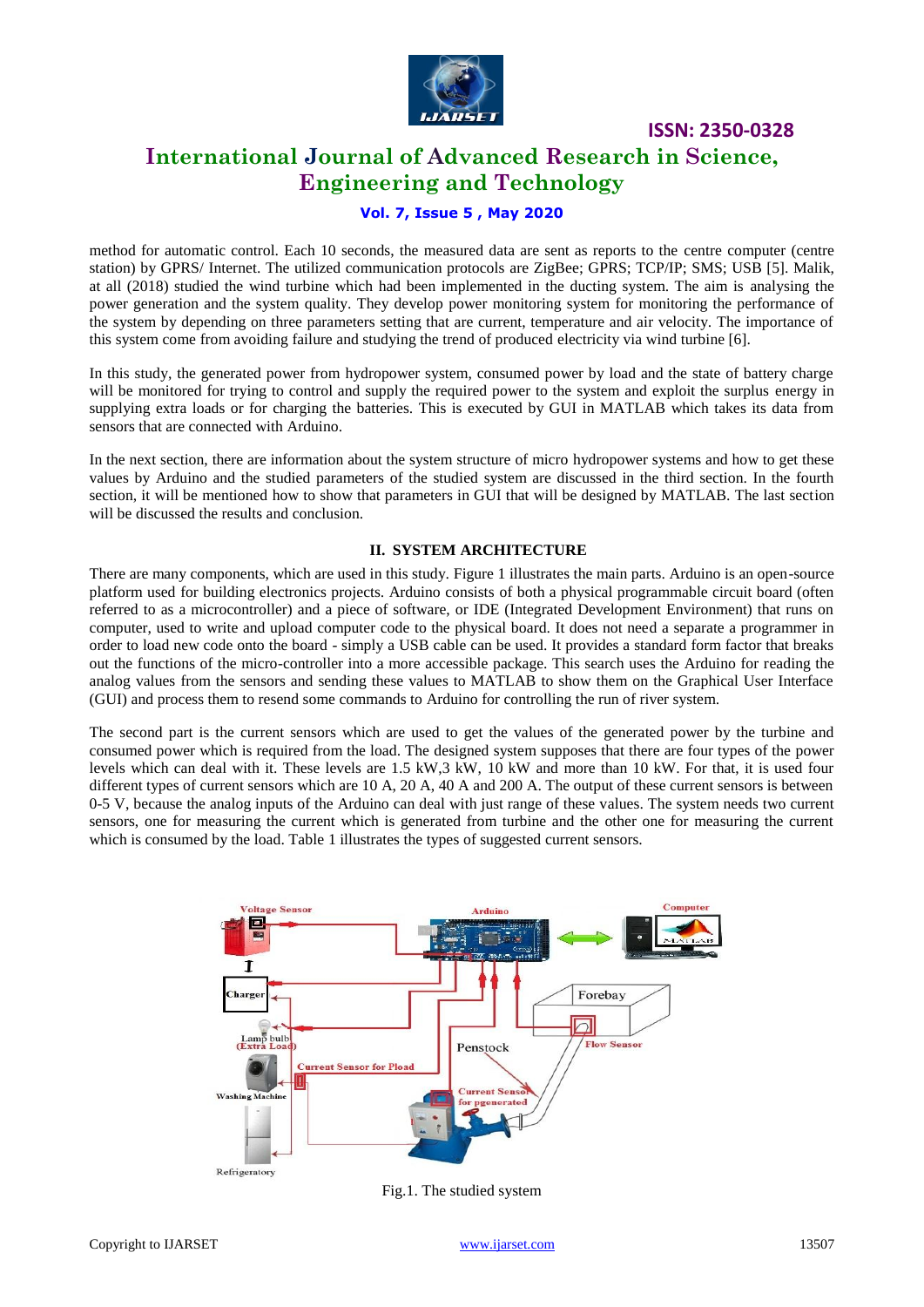

## **International Journal of Advanced Research in Science, Engineering and Technology**

## **Vol. 7, Issue 5 , May 2020**

method for automatic control. Each 10 seconds, the measured data are sent as reports to the centre computer (centre station) by GPRS/ Internet. The utilized communication protocols are ZigBee; GPRS; TCP/IP; SMS; USB [5]. Malik, at all (2018) studied the wind turbine which had been implemented in the ducting system. The aim is analysing the power generation and the system quality. They develop power monitoring system for monitoring the performance of the system by depending on three parameters setting that are current, temperature and air velocity. The importance of this system come from avoiding failure and studying the trend of produced electricity via wind turbine [6].

In this study, the generated power from hydropower system, consumed power by load and the state of battery charge will be monitored for trying to control and supply the required power to the system and exploit the surplus energy in supplying extra loads or for charging the batteries. This is executed by GUI in MATLAB which takes its data from sensors that are connected with Arduino.

In the next section, there are information about the system structure of micro hydropower systems and how to get these values by Arduino and the studied parameters of the studied system are discussed in the third section. In the fourth section, it will be mentioned how to show that parameters in GUI that will be designed by MATLAB. The last section will be discussed the results and conclusion.

## **II. SYSTEM ARCHITECTURE**

There are many components, which are used in this study. Figure 1 illustrates the main parts. Arduino is an open-source platform used for building electronics projects. Arduino consists of both a physical programmable circuit board (often referred to as a microcontroller) and a piece of software, or IDE (Integrated Development Environment) that runs on computer, used to write and upload computer code to the physical board. It does not need a separate a programmer in order to load new code onto the board - simply a USB cable can be used. It provides a standard form factor that breaks out the functions of the micro-controller into a more accessible package. This search uses the Arduino for reading the analog values from the sensors and sending these values to MATLAB to show them on the Graphical User Interface (GUI) and process them to resend some commands to Arduino for controlling the run of river system.

The second part is the current sensors which are used to get the values of the generated power by the turbine and consumed power which is required from the load. The designed system supposes that there are four types of the power levels which can deal with it. These levels are 1.5 kW,3 kW, 10 kW and more than 10 kW. For that, it is used four different types of current sensors which are 10 A, 20 A, 40 A and 200 A. The output of these current sensors is between 0-5 V, because the analog inputs of the Arduino can deal with just range of these values. The system needs two current sensors, one for measuring the current which is generated from turbine and the other one for measuring the current which is consumed by the load. Table 1 illustrates the types of suggested current sensors.



Fig.1. The studied system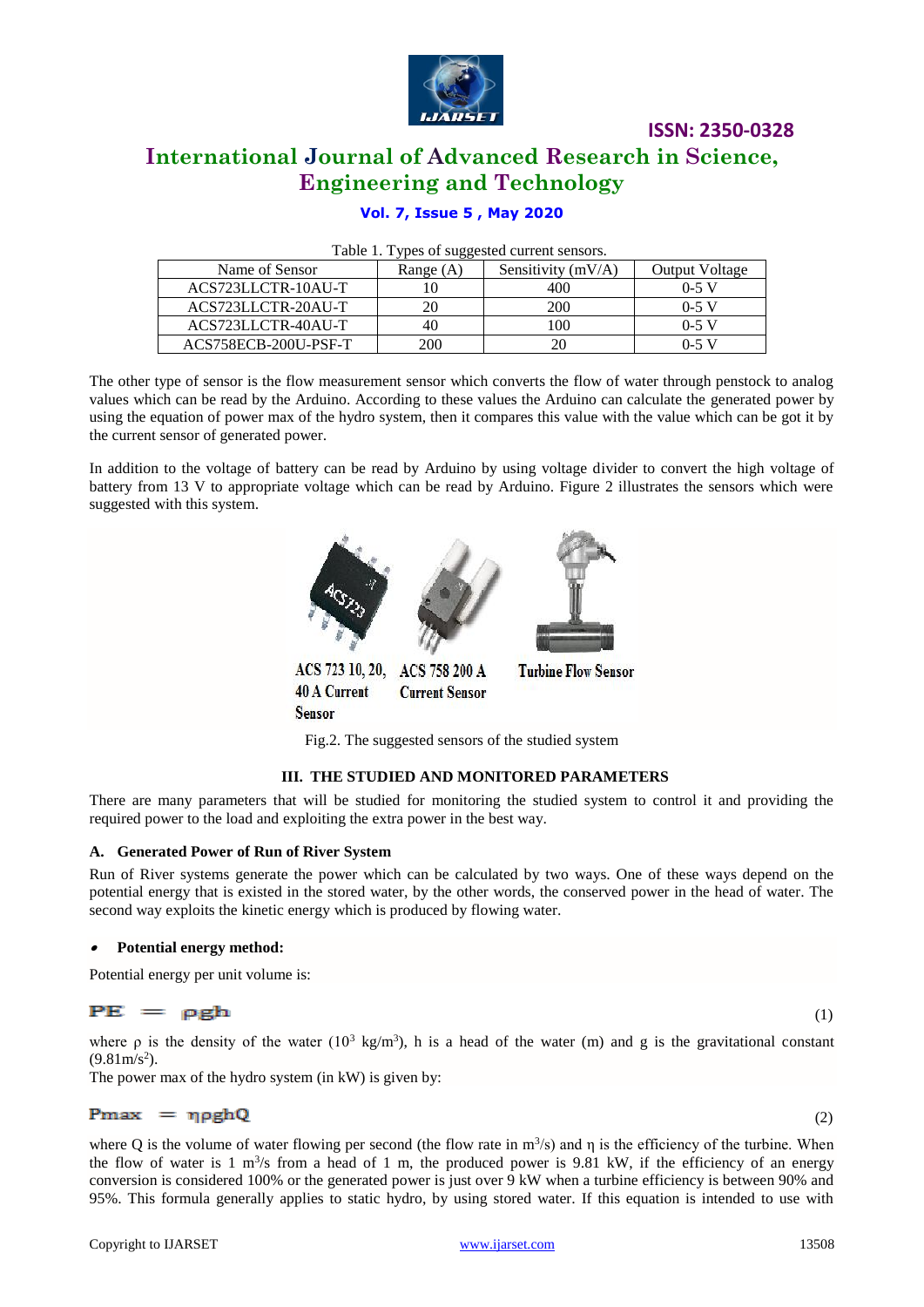

## **International Journal of Advanced Research in Science, Engineering and Technology**

## **Vol. 7, Issue 5 , May 2020**

| Table 1. Types of suggested current sensors. |  |  |
|----------------------------------------------|--|--|
|----------------------------------------------|--|--|

| Name of Sensor       | Range (A) | Sensitivity $(mV/A)$ | <b>Output Voltage</b> |
|----------------------|-----------|----------------------|-----------------------|
| ACS723LLCTR-10AU-T   |           | 400                  | $0 - 5$ V             |
| ACS723LLCTR-20AU-T   |           | 200                  | $0-5$ V               |
| ACS723LLCTR-40AU-T   | 40        | 00                   | $0-5$ V               |
| ACS758ECB-200U-PSF-T | 200       |                      | $0-5$ V               |

The other type of sensor is the flow measurement sensor which converts the flow of water through penstock to analog values which can be read by the Arduino. According to these values the Arduino can calculate the generated power by using the equation of power max of the hydro system, then it compares this value with the value which can be got it by the current sensor of generated power.

In addition to the voltage of battery can be read by Arduino by using voltage divider to convert the high voltage of battery from 13 V to appropriate voltage which can be read by Arduino. Figure 2 illustrates the sensors which were suggested with this system.



Fig.2. The suggested sensors of the studied system

### **III. THE STUDIED AND MONITORED PARAMETERS**

There are many parameters that will be studied for monitoring the studied system to control it and providing the required power to the load and exploiting the extra power in the best way.

### **A. Generated Power of Run of River System**

Run of River systems generate the power which can be calculated by two ways. One of these ways depend on the potential energy that is existed in the stored water, by the other words, the conserved power in the head of water. The second way exploits the kinetic energy which is produced by flowing water.

#### •**Potential energy method:**

Potential energy per unit volume is:

## $PE = \rho g h$

where  $\rho$  is the density of the water (10<sup>3</sup> kg/m<sup>3</sup>), h is a head of the water (m) and g is the gravitational constant  $(9.81 \text{m/s}^2)$ .

The power max of the hydro system (in kW) is given by:

## $(2)$

where Q is the volume of water flowing per second (the flow rate in  $m^3/s$ ) and  $\eta$  is the efficiency of the turbine. When the flow of water is  $1 \text{ m}^3$ /s from a head of  $1 \text{ m}$ , the produced power is 9.81 kW, if the efficiency of an energy conversion is considered 100% or the generated power is just over 9 kW when a turbine efficiency is between 90% and 95%. This formula generally applies to static hydro, by using stored water. If this equation is intended to use with

(1)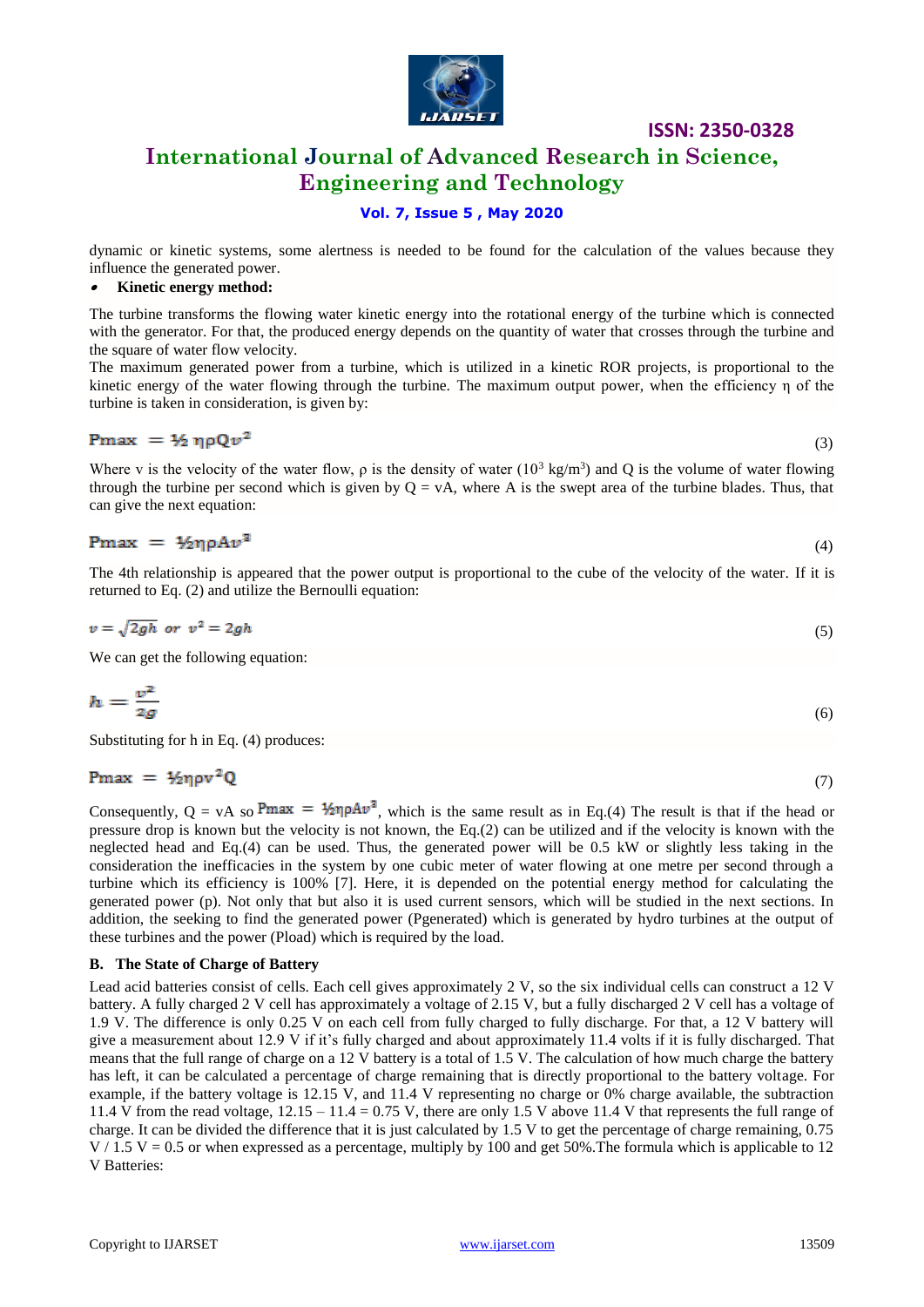

## **International Journal of Advanced Research in Science, Engineering and Technology**

## **Vol. 7, Issue 5 , May 2020**

dynamic or kinetic systems, some alertness is needed to be found for the calculation of the values because they influence the generated power.

#### •**Kinetic energy method:**

The turbine transforms the flowing water kinetic energy into the rotational energy of the turbine which is connected with the generator. For that, the produced energy depends on the quantity of water that crosses through the turbine and the square of water flow velocity.

The maximum generated power from a turbine, which is utilized in a kinetic ROR projects, is proportional to the kinetic energy of the water flowing through the turbine. The maximum output power, when the efficiency η of the turbine is taken in consideration, is given by:

$$
Pmax = \frac{1}{2} \eta \rho Q v^2
$$

 $\sim$  (3)

Where v is the velocity of the water flow,  $\rho$  is the density of water  $(10^3 \text{ kg/m}^3)$  and Q is the volume of water flowing through the turbine per second which is given by  $Q = vA$ , where A is the swept area of the turbine blades. Thus, that can give the next equation:

$$
\text{Pmax} = \frac{1}{2} \eta \rho A v^3 \tag{4}
$$

The 4th relationship is appeared that the power output is proportional to the cube of the velocity of the water. If it is returned to Eq. (2) and utilize the Bernoulli equation:

$$
v = \sqrt{2gh} \text{ or } v^2 = 2gh \tag{5}
$$

We can get the following equation:

$$
h = \frac{v^2}{2g} \tag{6}
$$

Substituting for h in Eq. (4) produces:

$$
Pmax = \frac{1}{2} \eta \rho v^2 Q \tag{7}
$$

Consequently,  $Q = vA$  so Pmax =  $\frac{1}{2} \eta \rho A v^2$ , which is the same result as in Eq.(4) The result is that if the head or pressure drop is known but the velocity is not known, the Eq.(2) can be utilized and if the velocity is known with the neglected head and Eq.(4) can be used. Thus, the generated power will be 0.5 kW or slightly less taking in the consideration the inefficacies in the system by one cubic meter of water flowing at one metre per second through a turbine which its efficiency is 100% [7]. Here, it is depended on the potential energy method for calculating the generated power (p). Not only that but also it is used current sensors, which will be studied in the next sections. In addition, the seeking to find the generated power (Pgenerated) which is generated by hydro turbines at the output of these turbines and the power (Pload) which is required by the load.

### **B. The State of Charge of Battery**

Lead acid batteries consist of cells. Each cell gives approximately 2 V, so the six individual cells can construct a 12 V battery. A fully charged 2 V cell has approximately a voltage of 2.15 V, but a fully discharged 2 V cell has a voltage of 1.9 V. The difference is only 0.25 V on each cell from fully charged to fully discharge. For that, a 12 V battery will give a measurement about 12.9 V if it's fully charged and about approximately 11.4 volts if it is fully discharged. That means that the full range of charge on a 12 V battery is a total of 1.5 V. The calculation of how much charge the battery has left, it can be calculated a percentage of charge remaining that is directly proportional to the battery voltage. For example, if the battery voltage is 12.15 V, and 11.4 V representing no charge or 0% charge available, the subtraction 11.4 V from the read voltage, 12.15 – 11.4 = 0.75 V, there are only 1.5 V above 11.4 V that represents the full range of charge. It can be divided the difference that it is just calculated by 1.5 V to get the percentage of charge remaining, 0.75  $V / 1.5$  V = 0.5 or when expressed as a percentage, multiply by 100 and get 50%. The formula which is applicable to 12 V Batteries: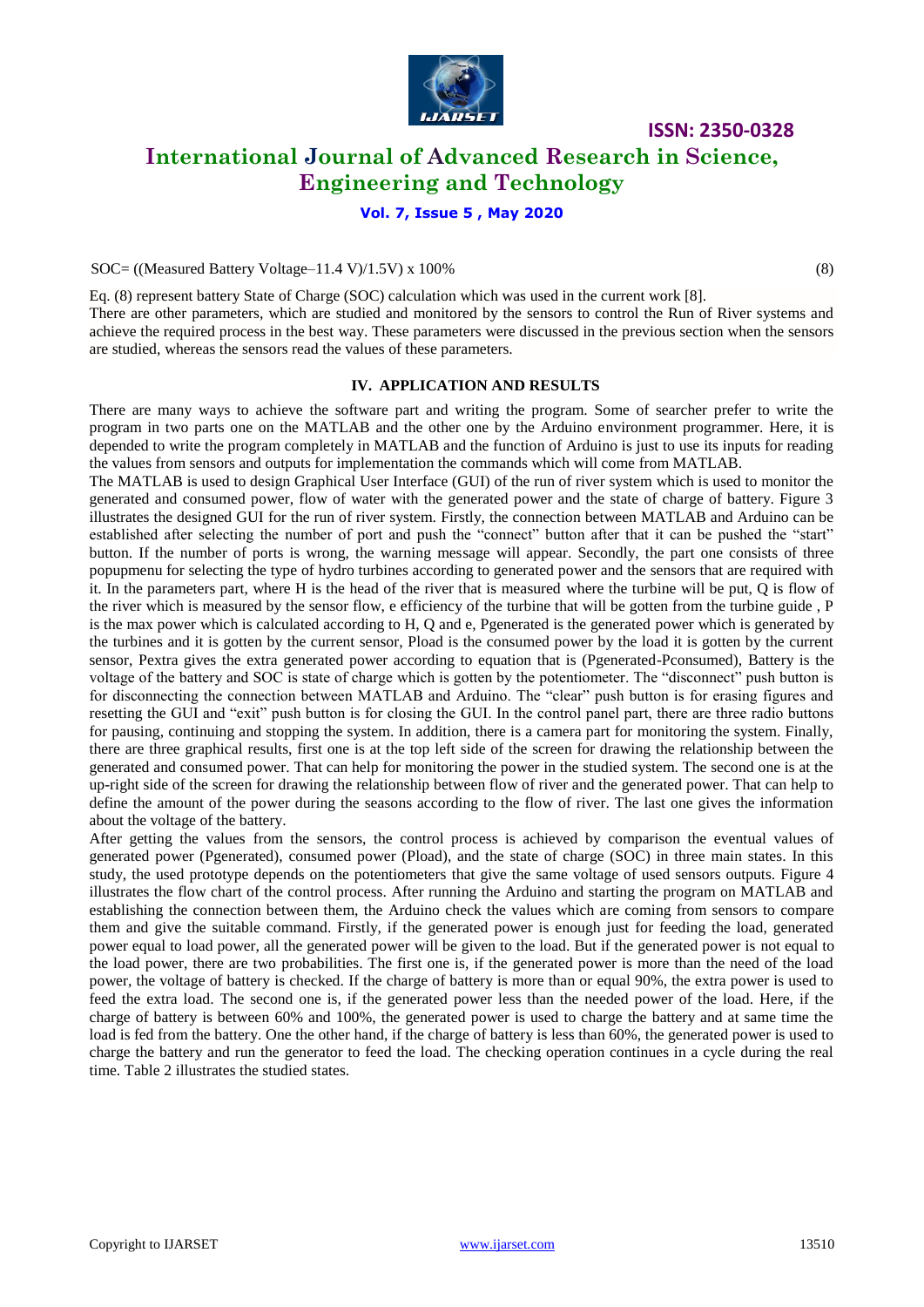

## **International Journal of Advanced Research in Science, Engineering and Technology**

### **Vol. 7, Issue 5 , May 2020**

### $SOC = ((Measured Battery Voltage-11.4 V)/1.5 V) \times 100\%$  (8)

Eq. (8) represent battery State of Charge (SOC) calculation which was used in the current work [8]. There are other parameters, which are studied and monitored by the sensors to control the Run of River systems and achieve the required process in the best way. These parameters were discussed in the previous section when the sensors are studied, whereas the sensors read the values of these parameters.

### **IV. APPLICATION AND RESULTS**

There are many ways to achieve the software part and writing the program. Some of searcher prefer to write the program in two parts one on the MATLAB and the other one by the Arduino environment programmer. Here, it is depended to write the program completely in MATLAB and the function of Arduino is just to use its inputs for reading the values from sensors and outputs for implementation the commands which will come from MATLAB.

The MATLAB is used to design Graphical User Interface (GUI) of the run of river system which is used to monitor the generated and consumed power, flow of water with the generated power and the state of charge of battery. Figure 3 illustrates the designed GUI for the run of river system. Firstly, the connection between MATLAB and Arduino can be established after selecting the number of port and push the "connect" button after that it can be pushed the "start" button. If the number of ports is wrong, the warning message will appear. Secondly, the part one consists of three popupmenu for selecting the type of hydro turbines according to generated power and the sensors that are required with it. In the parameters part, where H is the head of the river that is measured where the turbine will be put, Q is flow of the river which is measured by the sensor flow, e efficiency of the turbine that will be gotten from the turbine guide , P is the max power which is calculated according to H, Q and e, Pgenerated is the generated power which is generated by the turbines and it is gotten by the current sensor, Pload is the consumed power by the load it is gotten by the current sensor, Pextra gives the extra generated power according to equation that is (Pgenerated-Pconsumed), Battery is the voltage of the battery and SOC is state of charge which is gotten by the potentiometer. The "disconnect" push button is for disconnecting the connection between MATLAB and Arduino. The "clear" push button is for erasing figures and resetting the GUI and "exit" push button is for closing the GUI. In the control panel part, there are three radio buttons for pausing, continuing and stopping the system. In addition, there is a camera part for monitoring the system. Finally, there are three graphical results, first one is at the top left side of the screen for drawing the relationship between the generated and consumed power. That can help for monitoring the power in the studied system. The second one is at the up-right side of the screen for drawing the relationship between flow of river and the generated power. That can help to define the amount of the power during the seasons according to the flow of river. The last one gives the information about the voltage of the battery.

After getting the values from the sensors, the control process is achieved by comparison the eventual values of generated power (Pgenerated), consumed power (Pload), and the state of charge (SOC) in three main states. In this study, the used prototype depends on the potentiometers that give the same voltage of used sensors outputs. Figure 4 illustrates the flow chart of the control process. After running the Arduino and starting the program on MATLAB and establishing the connection between them, the Arduino check the values which are coming from sensors to compare them and give the suitable command. Firstly, if the generated power is enough just for feeding the load, generated power equal to load power, all the generated power will be given to the load. But if the generated power is not equal to the load power, there are two probabilities. The first one is, if the generated power is more than the need of the load power, the voltage of battery is checked. If the charge of battery is more than or equal 90%, the extra power is used to feed the extra load. The second one is, if the generated power less than the needed power of the load. Here, if the charge of battery is between 60% and 100%, the generated power is used to charge the battery and at same time the load is fed from the battery. One the other hand, if the charge of battery is less than 60%, the generated power is used to charge the battery and run the generator to feed the load. The checking operation continues in a cycle during the real time. Table 2 illustrates the studied states.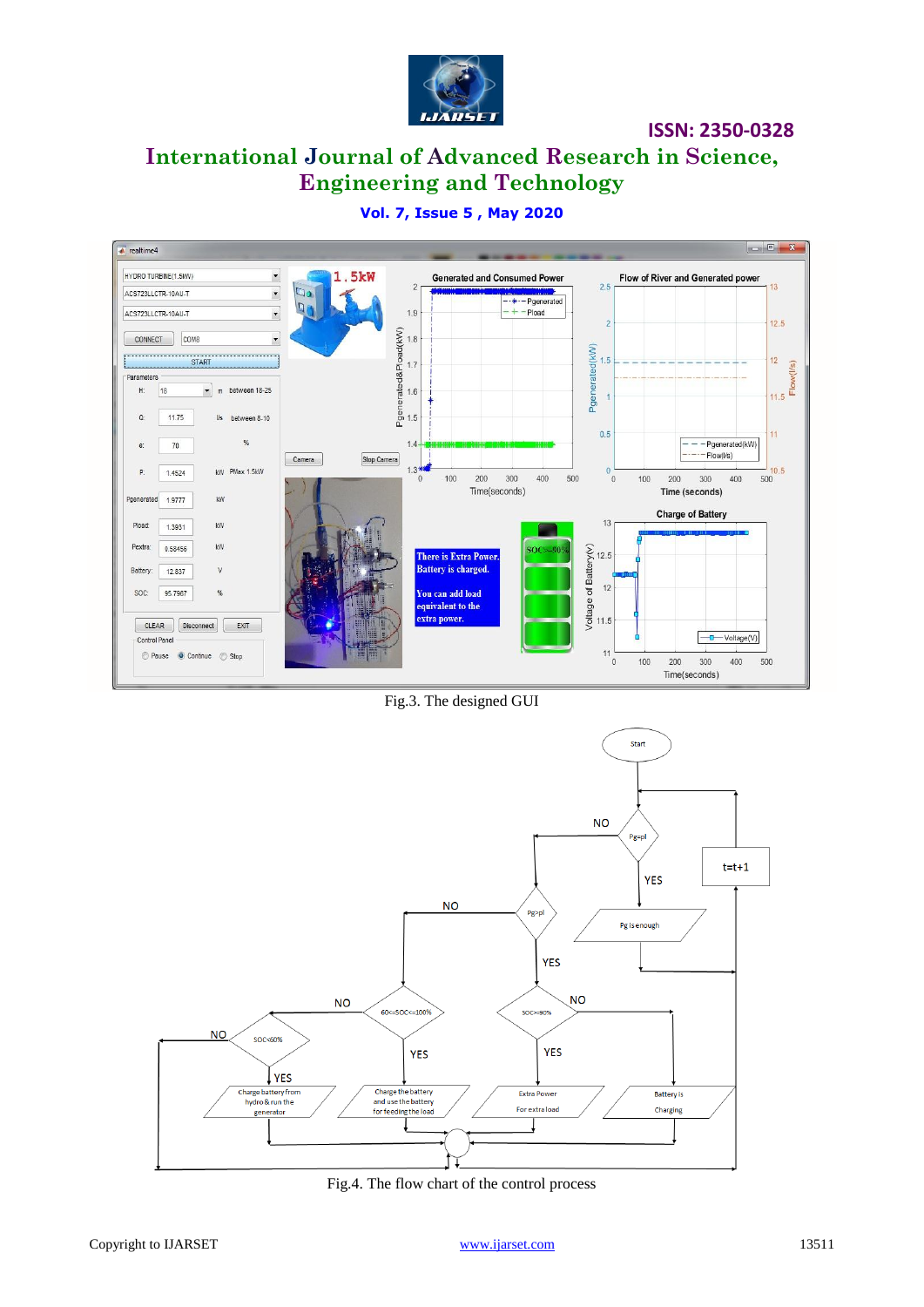

## **International Journal of Advanced Research in Science, Engineering and Technology**



## **Vol. 7, Issue 5 , May 2020**

Fig.3. The designed GUI



Fig.4. The flow chart of the control process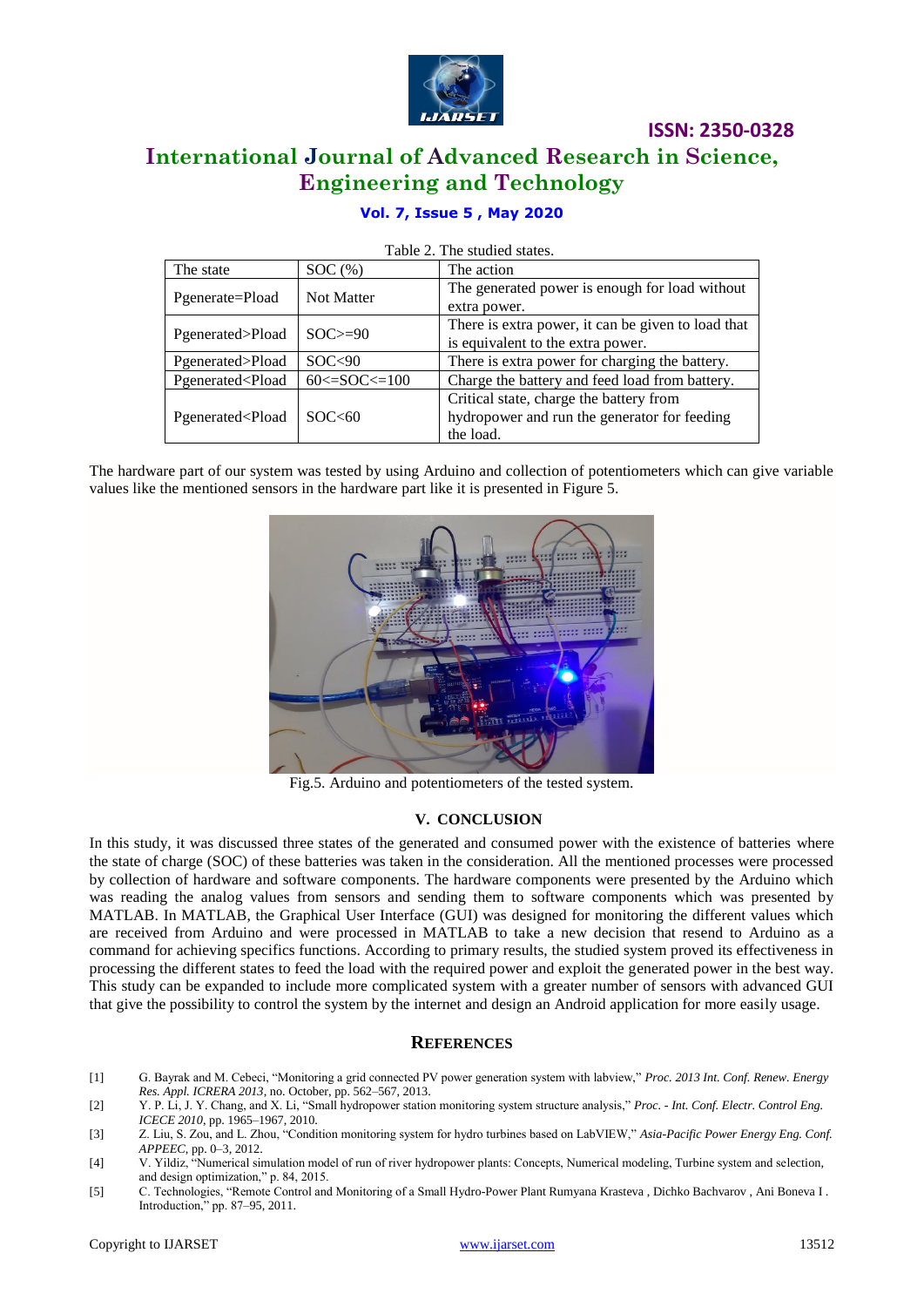

## **International Journal of Advanced Research in Science, Engineering and Technology**

## **Vol. 7, Issue 5 , May 2020**

| The state                                                                                                                                                           | SOC <sub>8</sub>       | The action                                                                                           |  |
|---------------------------------------------------------------------------------------------------------------------------------------------------------------------|------------------------|------------------------------------------------------------------------------------------------------|--|
| Pgenerate=Pload                                                                                                                                                     | <b>Not Matter</b>      | The generated power is enough for load without<br>extra power.                                       |  |
| Pgenerated>Pload                                                                                                                                                    | $SOC \ge 90$           | There is extra power, it can be given to load that<br>is equivalent to the extra power.              |  |
| Pgenerated>Pload                                                                                                                                                    | SOC<90                 | There is extra power for charging the battery.                                                       |  |
| Pgenerated <pload< td=""><td><math>60 \leq SOC \leq 100</math></td><td>Charge the battery and feed load from battery.</td></pload<>                                 | $60 \leq SOC \leq 100$ | Charge the battery and feed load from battery.                                                       |  |
| Pgenerated <pload< td=""><td>SOC&lt;60</td><td>Critical state, charge the battery from<br/>hydropower and run the generator for feeding<br/>the load.</td></pload<> | SOC<60                 | Critical state, charge the battery from<br>hydropower and run the generator for feeding<br>the load. |  |

Table 2. The studied states.

The hardware part of our system was tested by using Arduino and collection of potentiometers which can give variable values like the mentioned sensors in the hardware part like it is presented in Figure 5.



Fig.5. Arduino and potentiometers of the tested system.

### **V. CONCLUSION**

In this study, it was discussed three states of the generated and consumed power with the existence of batteries where the state of charge (SOC) of these batteries was taken in the consideration. All the mentioned processes were processed by collection of hardware and software components. The hardware components were presented by the Arduino which was reading the analog values from sensors and sending them to software components which was presented by MATLAB. In MATLAB, the Graphical User Interface (GUI) was designed for monitoring the different values which are received from Arduino and were processed in MATLAB to take a new decision that resend to Arduino as a command for achieving specifics functions. According to primary results, the studied system proved its effectiveness in processing the different states to feed the load with the required power and exploit the generated power in the best way. This study can be expanded to include more complicated system with a greater number of sensors with advanced GUI that give the possibility to control the system by the internet and design an Android application for more easily usage.

### **REFERENCES**

- [1] G. Bayrak and M. Cebeci, "Monitoring a grid connected PV power generation system with labview," *Proc. 2013 Int. Conf. Renew. Energy Res. Appl. ICRERA 2013*, no. October, pp. 562–567, 2013.
- [2] Y. P. Li, J. Y. Chang, and X. Li, "Small hydropower station monitoring system structure analysis," *Proc. - Int. Conf. Electr. Control Eng. ICECE 2010*, pp. 1965–1967, 2010.
- [3] Z. Liu, S. Zou, and L. Zhou, "Condition monitoring system for hydro turbines based on LabVIEW," *Asia-Pacific Power Energy Eng. Conf. APPEEC*, pp. 0–3, 2012.
- [4] V. Yildiz, "Numerical simulation model of run of river hydropower plants: Concepts, Numerical modeling, Turbine system and selection, and design optimization," p. 84, 2015.
- [5] C. Technologies, "Remote Control and Monitoring of a Small Hydro-Power Plant Rumyana Krasteva , Dichko Bachvarov , Ani Boneva I . Introduction," pp. 87–95, 2011.